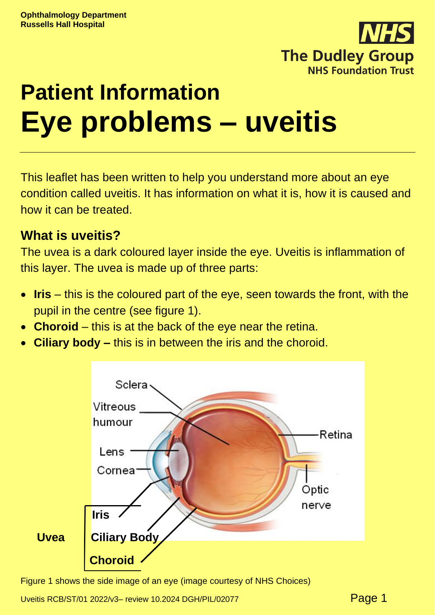

# **Patient Information Eye problems – uveitis**

This leaflet has been written to help you understand more about an eye condition called uveitis. It has information on what it is, how it is caused and how it can be treated.

#### **What is uveitis?**

The uvea is a dark coloured layer inside the eye. Uveitis is inflammation of this layer. The uvea is made up of three parts:

- **Iris** this is the coloured part of the eye, seen towards the front, with the pupil in the centre (see figure 1).
- **Choroid** this is at the back of the eye near the retina.
- **Ciliary body –** this is in between the iris and the choroid.



Figure 1 shows the side image of an eye (image courtesy of NHS Choices)

Uveitis RCB/ST/01 2022/v3- review 10.2024 DGH/PIL/02077 **Page 1**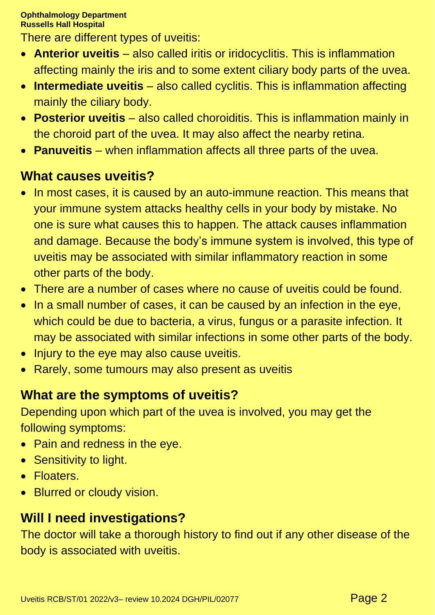There are different types of uveitis:

- **Anterior uveitis** also called iritis or iridocyclitis. This is inflammation affecting mainly the iris and to some extent ciliary body parts of the uvea.
- **Intermediate uveitis** also called cyclitis. This is inflammation affecting mainly the ciliary body.
- **Posterior uveitis** also called choroiditis. This is inflammation mainly in the choroid part of the uvea. It may also affect the nearby retina.
- **Panuveitis** when inflammation affects all three parts of the uvea.

## **What causes uveitis?**

- In most cases, it is caused by an auto-immune reaction. This means that your immune system attacks healthy cells in your body by mistake. No one is sure what causes this to happen. The attack causes inflammation and damage. Because the body's immune system is involved, this type of uveitis may be associated with similar inflammatory reaction in some other parts of the body.
- There are a number of cases where no cause of uveitis could be found.
- In a small number of cases, it can be caused by an infection in the eye, which could be due to bacteria, a virus, fungus or a parasite infection. It may be associated with similar infections in some other parts of the body.
- Injury to the eye may also cause uveitis.
- Rarely, some tumours may also present as uveitis

# **What are the symptoms of uveitis?**

Depending upon which part of the uvea is involved, you may get the following symptoms:

- Pain and redness in the eye.
- Sensitivity to light.
- Floaters.
- Blurred or cloudy vision.

# **Will I need investigations?**

The doctor will take a thorough history to find out if any other disease of the body is associated with uveitis.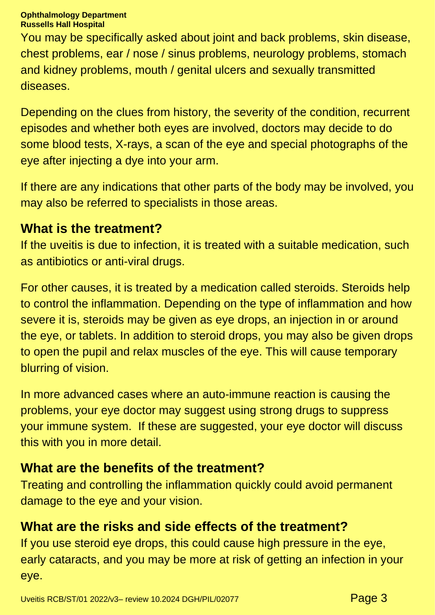#### **Ophthalmology Department Russells Hall Hospital**

You may be specifically asked about joint and back problems, skin disease, chest problems, ear / nose / sinus problems, neurology problems, stomach and kidney problems, mouth / genital ulcers and sexually transmitted diseases.

Depending on the clues from history, the severity of the condition, recurrent episodes and whether both eyes are involved, doctors may decide to do some blood tests, X-rays, a scan of the eye and special photographs of the eye after injecting a dye into your arm.

If there are any indications that other parts of the body may be involved, you may also be referred to specialists in those areas.

#### **What is the treatment?**

If the uveitis is due to infection, it is treated with a suitable medication, such as antibiotics or anti-viral drugs.

For other causes, it is treated by a medication called steroids. Steroids help to control the inflammation. Depending on the type of inflammation and how severe it is, steroids may be given as eye drops, an injection in or around the eye, or tablets. In addition to steroid drops, you may also be given drops to open the pupil and relax muscles of the eye. This will cause temporary blurring of vision.

In more advanced cases where an auto-immune reaction is causing the problems, your eye doctor may suggest using strong drugs to suppress your immune system. If these are suggested, your eye doctor will discuss this with you in more detail.

# **What are the benefits of the treatment?**

Treating and controlling the inflammation quickly could avoid permanent damage to the eye and your vision.

# **What are the risks and side effects of the treatment?**

If you use steroid eye drops, this could cause high pressure in the eye, early cataracts, and you may be more at risk of getting an infection in your eye.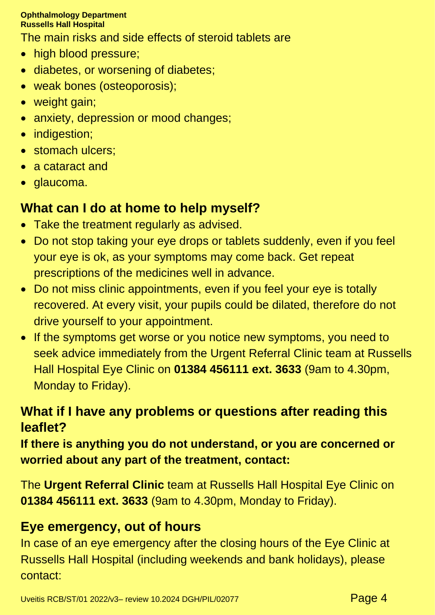#### **Ophthalmology Department Russells Hall Hospital**

The main risks and side effects of steroid tablets are

- high blood pressure;
- diabetes, or worsening of diabetes;
- weak bones (osteoporosis);
- weight gain;
- anxiety, depression or mood changes;
- indigestion;
- stomach ulcers;
- a cataract and
- glaucoma.

## **What can I do at home to help myself?**

- Take the treatment regularly as advised.
- Do not stop taking your eye drops or tablets suddenly, even if you feel your eye is ok, as your symptoms may come back. Get repeat prescriptions of the medicines well in advance.
- Do not miss clinic appointments, even if you feel your eye is totally recovered. At every visit, your pupils could be dilated, therefore do not drive yourself to your appointment.
- If the symptoms get worse or you notice new symptoms, you need to seek advice immediately from the Urgent Referral Clinic team at Russells Hall Hospital Eye Clinic on **01384 456111 ext. 3633** (9am to 4.30pm, Monday to Friday).

# **What if I have any problems or questions after reading this leaflet?**

**If there is anything you do not understand, or you are concerned or worried about any part of the treatment, contact:**

The **Urgent Referral Clinic** team at Russells Hall Hospital Eye Clinic on **01384 456111 ext. 3633** (9am to 4.30pm, Monday to Friday).

# **Eye emergency, out of hours**

In case of an eye emergency after the closing hours of the Eye Clinic at Russells Hall Hospital (including weekends and bank holidays), please contact: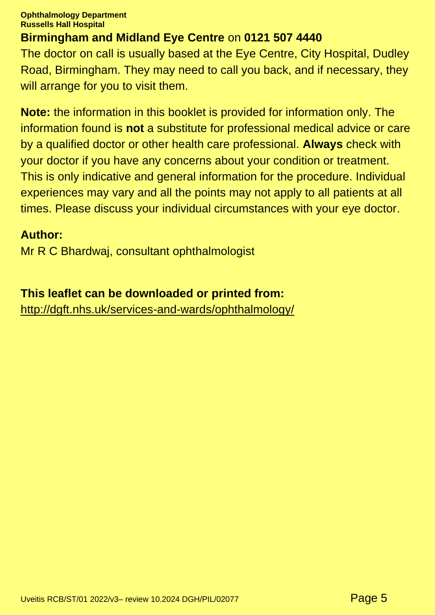**Ophthalmology Department Russells Hall Hospital**

#### **Birmingham and Midland Eye Centre** on **0121 507 4440**

The doctor on call is usually based at the Eye Centre, City Hospital, Dudley Road, Birmingham. They may need to call you back, and if necessary, they will arrange for you to visit them.

**Note:** the information in this booklet is provided for information only. The information found is **not** a substitute for professional medical advice or care by a qualified doctor or other health care professional. **Always** check with your doctor if you have any concerns about your condition or treatment. This is only indicative and general information for the procedure. Individual experiences may vary and all the points may not apply to all patients at all times. Please discuss your individual circumstances with your eye doctor.

#### **Author:**

Mr R C Bhardwaj, consultant ophthalmologist

**This leaflet can be downloaded or printed from:** <http://dgft.nhs.uk/services-and-wards/ophthalmology/>